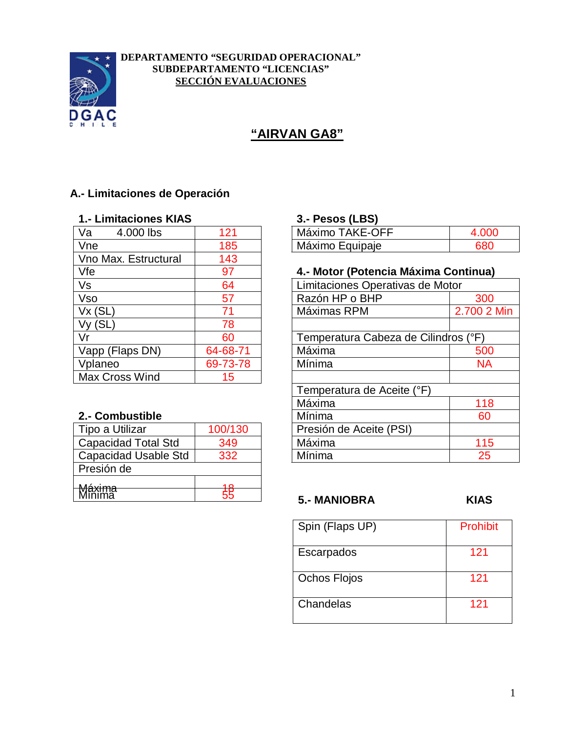

### **DEPARTAMENTO "SEGURIDAD OPERACIONAL" SUBDEPARTAMENTO "LICENCIAS" SECCIÓN EVALUACIONES**

# **"AIRVAN GA8"**

## **A.- Limitaciones de Operación**

# **1.- Limitaciones KIAS 3.- Pesos (LBS)**

| Va<br>4.000 lbs      | 121      | Máximo TAKE-OFF                  |
|----------------------|----------|----------------------------------|
| Vne                  | 185      | Máximo Equipaje                  |
| Vno Max. Estructural | 143      |                                  |
| Vfe                  | 97       | 4.- Motor (Potencia Máxima Cor   |
| Vs                   | 64       | Limitaciones Operativas de Motor |
| <b>Vso</b>           | 57       | Razón HP o BHP                   |
| Vx(SL)               | 71       | Máximas RPM<br>$\overline{2}$    |
| (SL)                 | 78       |                                  |
| Vr                   | 60       | Temperatura Cabeza de Cilindros  |
| Vapp (Flaps DN)      | 64-68-71 | Máxima                           |
| Vplaneo              | 69-73-78 | Mínima                           |
| Max Cross Wind       | 15       |                                  |
|                      |          |                                  |

## **2.- Combustible**

| Tipo a Utilizar            | 100/130 | Presión de Aceite (PSI) |             |
|----------------------------|---------|-------------------------|-------------|
| <b>Capacidad Total Std</b> | 349     | Máxima                  | 115         |
| Capacidad Usable Std       | 332     | Mínima                  | 25          |
| Presión de                 |         |                         |             |
|                            | ה א     |                         |             |
| Máxima<br>Minima           |         | <b>5.- MANIOBRA</b>     | <b>KIAS</b> |
|                            |         |                         |             |

| ____ | ______________________ |    | ---                                         |    |
|------|------------------------|----|---------------------------------------------|----|
| Va   | - I L                  |    | OEE<br>ΔK<br>-IV).<br>— – C<br>n<br>1 X I I |    |
| Vne  |                        | oo | quipaje<br>$\cdots$<br>1 I C<br>. X I J     | วเ |

## Vfe 97 **4.- Motor (Potencia Máxima Continua)**

| $\overline{\mathsf{V}\mathsf{s}}$ | 64       |        | Limitaciones Operativas de Motor     |             |
|-----------------------------------|----------|--------|--------------------------------------|-------------|
| $\overline{\text{Vso}}$           | 57       |        | Razón HP o BHP                       | 300         |
| Vx(SL)                            | 71       |        | Máximas RPM                          | 2.700 2 Min |
| Vy(SL)                            | 78       |        |                                      |             |
| Vr                                | 60       |        | Temperatura Cabeza de Cilindros (°F) |             |
| Vapp (Flaps DN)                   | 64-68-71 | Máxima |                                      | 500         |
| Vplaneo                           | 69-73-78 | Mínima |                                      | <b>NA</b>   |
| Max Cross Wind                    | 15       |        |                                      |             |
|                                   |          |        | Temperatura de Aceite (°F)           |             |
|                                   |          | Máxima |                                      | 118         |
| <b>2.- Combustible</b>            |          | Mínima |                                      | 60          |
| Tipo a Utilizar                   | 100/130  |        | Presión de Aceite (PSI)              |             |
| Capacidad Total Std               | 349      | Máxima |                                      | 115         |
| Capacidad Usable Std              | 332      | Mínima |                                      | 25          |
|                                   |          |        |                                      |             |

| Spin (Flaps UP) | Prohibit |
|-----------------|----------|
| Escarpados      | 121      |
| Ochos Flojos    | 121      |
| Chandelas       | 121      |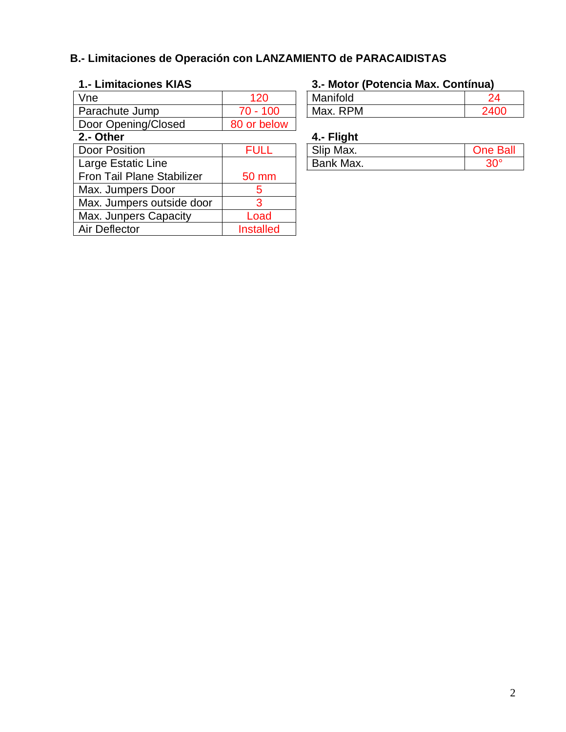# **B.- Limitaciones de Operación con LANZAMIENTO de PARACAIDISTAS**

| Vne                        | 120              | Manifold   | 24              |
|----------------------------|------------------|------------|-----------------|
| Parachute Jump             | $70 - 100$       | Max. RPM   | 2400            |
| Door Opening/Closed        | 80 or below      |            |                 |
| 2.- Other                  |                  | 4.- Flight |                 |
| <b>Door Position</b>       | <b>FULL</b>      | Slip Max.  | <b>One Ball</b> |
| Large Estatic Line         |                  | Bank Max.  | $30^\circ$      |
| Fron Tail Plane Stabilizer | 50 mm            |            |                 |
| Max. Jumpers Door          | 5                |            |                 |
| Max. Jumpers outside door  | 3                |            |                 |
| Max. Junpers Capacity      | Load             |            |                 |
| Air Deflector              | <b>Installed</b> |            |                 |
|                            |                  |            |                 |

# **1.- Limitaciones KIAS 3.- Motor (Potencia Max. Contínua)**

| Manifold |      |
|----------|------|
| Max. RPM | ን4በበ |

## **4.- Flight**

| --        |                 |
|-----------|-----------------|
| Slip Max. | <b>One Ball</b> |
| Bank Max. |                 |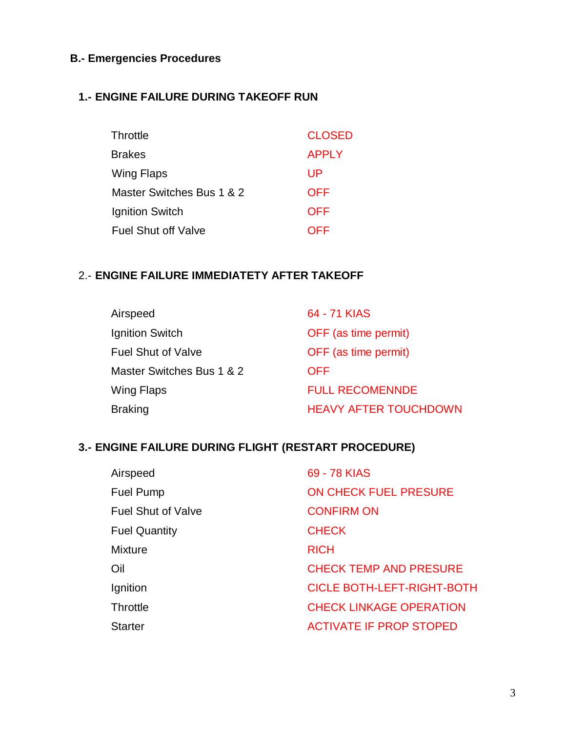## **B.- Emergencies Procedures**

### **1.- ENGINE FAILURE DURING TAKEOFF RUN**

| Throttle                   | <b>CLOSED</b> |
|----------------------------|---------------|
| Brakes                     | <b>APPLY</b>  |
| Wing Flaps                 | UP            |
| Master Switches Bus 1 & 2  | <b>OFF</b>    |
| Ignition Switch            | <b>OFF</b>    |
| <b>Fuel Shut off Valve</b> | OFF           |

### 2.- **ENGINE FAILURE IMMEDIATETY AFTER TAKEOFF**

| Airspeed                  | 64 - 71 KIAS                 |
|---------------------------|------------------------------|
| Ignition Switch           | OFF (as time permit)         |
| <b>Fuel Shut of Valve</b> | OFF (as time permit)         |
| Master Switches Bus 1 & 2 | <b>OFF</b>                   |
| Wing Flaps                | <b>FULL RECOMENNDE</b>       |
| <b>Braking</b>            | <b>HEAVY AFTER TOUCHDOWN</b> |

## **3.- ENGINE FAILURE DURING FLIGHT (RESTART PROCEDURE)**

| Airspeed                  | 69 - 78 KIAS                      |
|---------------------------|-----------------------------------|
| <b>Fuel Pump</b>          | ON CHECK FUEL PRESURE             |
| <b>Fuel Shut of Valve</b> | <b>CONFIRM ON</b>                 |
| <b>Fuel Quantity</b>      | <b>CHECK</b>                      |
| <b>Mixture</b>            | <b>RICH</b>                       |
| Oil                       | <b>CHECK TEMP AND PRESURE</b>     |
| Ignition                  | <b>CICLE BOTH-LEFT-RIGHT-BOTH</b> |
| <b>Throttle</b>           | <b>CHECK LINKAGE OPERATION</b>    |
| <b>Starter</b>            | <b>ACTIVATE IF PROP STOPED</b>    |